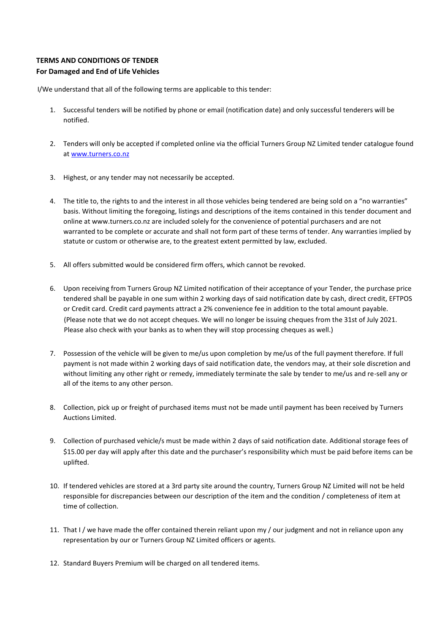## **TERMS AND CONDITIONS OF TENDER**

## **For Damaged and End of Life Vehicles**

I/We understand that all of the following terms are applicable to this tender:

- 1. Successful tenders will be notified by phone or email (notification date) and only successful tenderers will be notified.
- 2. Tenders will only be accepted if completed online via the official Turners Group NZ Limited tender catalogue found [at www.turners.co.nz](http://www.turners.co.nz/)
- 3. Highest, or any tender may not necessarily be accepted.
- 4. The title to, the rights to and the interest in all those vehicles being tendered are being sold on a "no warranties" basis. Without limiting the foregoing, listings and descriptions of the items contained in this tender document and online at www.turners.co.nz are included solely for the convenience of potential purchasers and are not warranted to be complete or accurate and shall not form part of these terms of tender. Any warranties implied by statute or custom or otherwise are, to the greatest extent permitted by law, excluded.
- 5. All offers submitted would be considered firm offers, which cannot be revoked.
- 6. Upon receiving from Turners Group NZ Limited notification of their acceptance of your Tender, the purchase price tendered shall be payable in one sum within 2 working days of said notification date by cash, direct credit, EFTPOS or Credit card. Credit card payments attract a 2% convenience fee in addition to the total amount payable. (Please note that we do not accept cheques. We will no longer be issuing cheques from the 31st of July 2021. Please also check with your banks as to when they will stop processing cheques as well.)
- 7. Possession of the vehicle will be given to me/us upon completion by me/us of the full payment therefore. If full payment is not made within 2 working days of said notification date, the vendors may, at their sole discretion and without limiting any other right or remedy, immediately terminate the sale by tender to me/us and re-sell any or all of the items to any other person.
- 8. Collection, pick up or freight of purchased items must not be made until payment has been received by Turners Auctions Limited.
- 9. Collection of purchased vehicle/s must be made within 2 days of said notification date. Additional storage fees of \$15.00 per day will apply after this date and the purchaser's responsibility which must be paid before items can be uplifted.
- 10. If tendered vehicles are stored at a 3rd party site around the country, Turners Group NZ Limited will not be held responsible for discrepancies between our description of the item and the condition / completeness of item at time of collection.
- 11. That I / we have made the offer contained therein reliant upon my / our judgment and not in reliance upon any representation by our or Turners Group NZ Limited officers or agents.
- 12. Standard Buyers Premium will be charged on all tendered items.